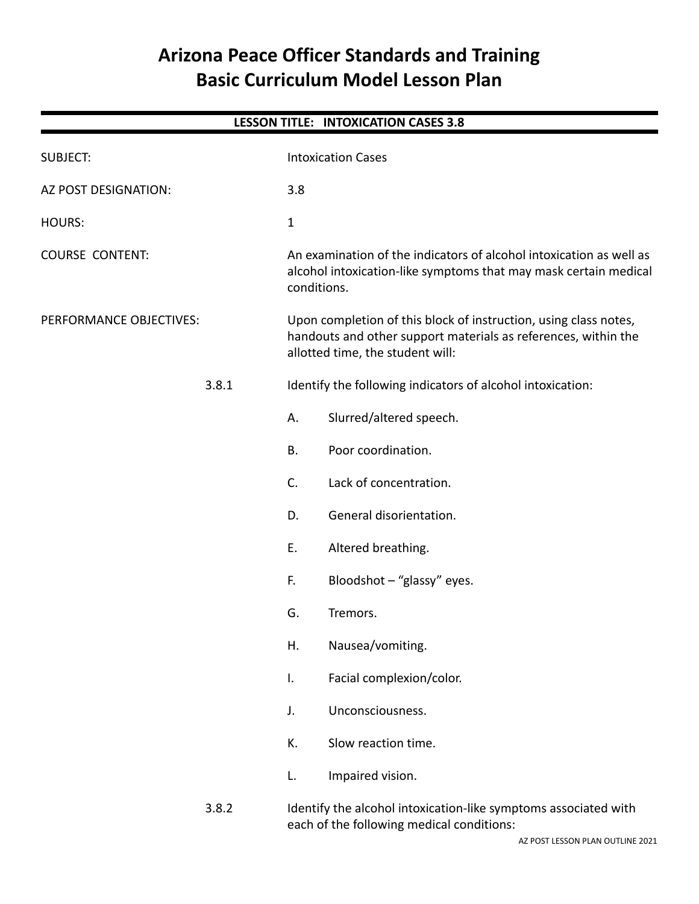# **Arizona Peace Officer Standards and Training Basic Curriculum Model Lesson Plan**

| <b>LESSON TITLE: INTOXICATION CASES 3.8</b> |              |                                                                                                                                                                        |  |
|---------------------------------------------|--------------|------------------------------------------------------------------------------------------------------------------------------------------------------------------------|--|
| <b>SUBJECT:</b>                             |              | <b>Intoxication Cases</b>                                                                                                                                              |  |
| AZ POST DESIGNATION:                        | 3.8          |                                                                                                                                                                        |  |
| <b>HOURS:</b>                               | $\mathbf{1}$ |                                                                                                                                                                        |  |
| <b>COURSE CONTENT:</b>                      |              | An examination of the indicators of alcohol intoxication as well as<br>alcohol intoxication-like symptoms that may mask certain medical<br>conditions.                 |  |
| PERFORMANCE OBJECTIVES:                     |              | Upon completion of this block of instruction, using class notes,<br>handouts and other support materials as references, within the<br>allotted time, the student will: |  |
| 3.8.1                                       |              | Identify the following indicators of alcohol intoxication:                                                                                                             |  |
|                                             | А.           | Slurred/altered speech.                                                                                                                                                |  |
|                                             | <b>B.</b>    | Poor coordination.                                                                                                                                                     |  |
|                                             | C.           | Lack of concentration.                                                                                                                                                 |  |
|                                             | D.           | General disorientation.                                                                                                                                                |  |
|                                             | Ε.           | Altered breathing.                                                                                                                                                     |  |
|                                             | F.           | Bloodshot - "glassy" eyes.                                                                                                                                             |  |
|                                             | G.           | Tremors.                                                                                                                                                               |  |
|                                             | Η.           | Nausea/vomiting.                                                                                                                                                       |  |
|                                             | I.           | Facial complexion/color.                                                                                                                                               |  |
|                                             | J.           | Unconsciousness.                                                                                                                                                       |  |
|                                             | К.           | Slow reaction time.                                                                                                                                                    |  |
|                                             | L.           | Impaired vision.                                                                                                                                                       |  |
| 3.8.2                                       |              | Identify the alcohol intoxication-like symptoms associated with<br>each of the following medical conditions:                                                           |  |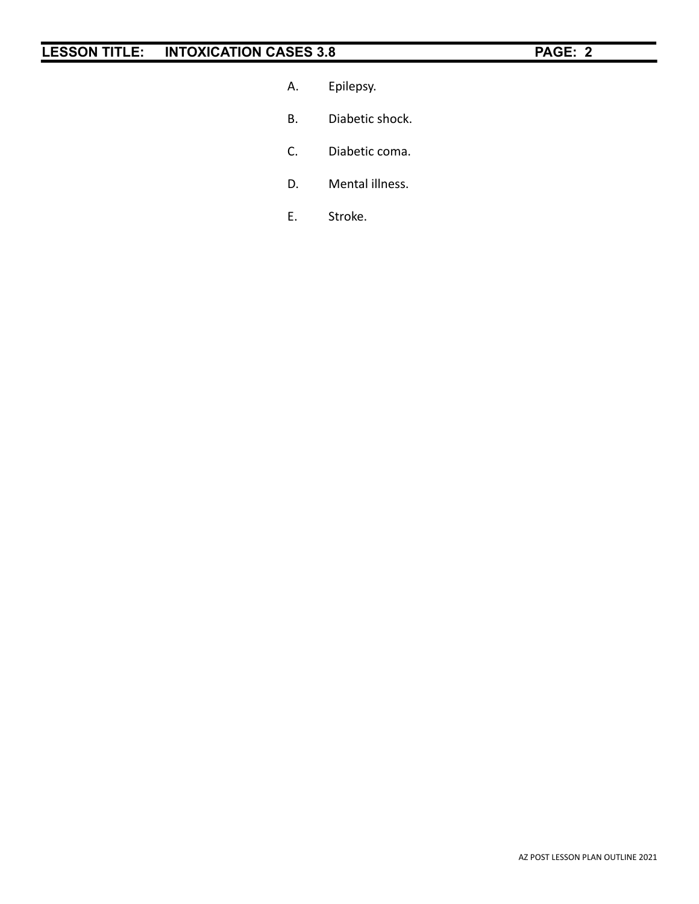- A. Epilepsy.
- B. Diabetic shock.
- C. Diabetic coma.
- D. Mental illness.
- E. Stroke.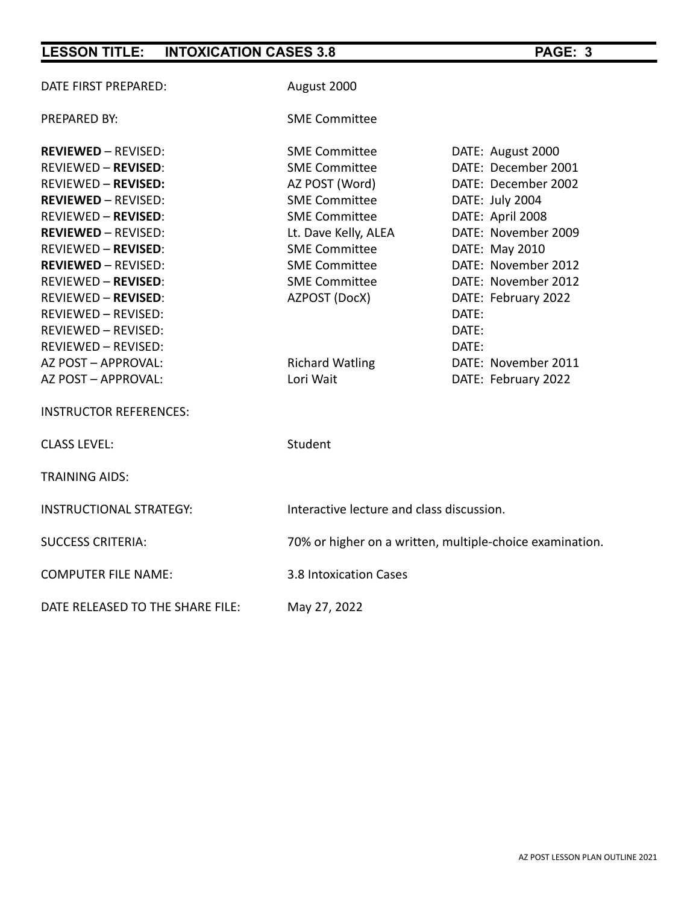| DATE FIRST PREPARED:             | August 2000                                              |                     |  |
|----------------------------------|----------------------------------------------------------|---------------------|--|
| <b>PREPARED BY:</b>              | <b>SME Committee</b>                                     |                     |  |
| <b>REVIEWED - REVISED:</b>       | <b>SME Committee</b>                                     | DATE: August 2000   |  |
| <b>REVIEWED - REVISED:</b>       | <b>SME Committee</b>                                     | DATE: December 2001 |  |
| <b>REVIEWED - REVISED:</b>       | AZ POST (Word)                                           | DATE: December 2002 |  |
| <b>REVIEWED - REVISED:</b>       | <b>SME Committee</b>                                     | DATE: July 2004     |  |
| <b>REVIEWED - REVISED:</b>       | <b>SME Committee</b>                                     | DATE: April 2008    |  |
| <b>REVIEWED - REVISED:</b>       | Lt. Dave Kelly, ALEA                                     | DATE: November 2009 |  |
| <b>REVIEWED - REVISED:</b>       | <b>SME Committee</b>                                     | DATE: May 2010      |  |
| <b>REVIEWED - REVISED:</b>       | <b>SME Committee</b>                                     | DATE: November 2012 |  |
| <b>REVIEWED - REVISED:</b>       | <b>SME Committee</b>                                     | DATE: November 2012 |  |
| <b>REVIEWED - REVISED:</b>       | AZPOST (DocX)                                            | DATE: February 2022 |  |
| <b>REVIEWED - REVISED:</b>       |                                                          | DATE:               |  |
| <b>REVIEWED - REVISED:</b>       |                                                          | DATE:               |  |
| <b>REVIEWED - REVISED:</b>       |                                                          | DATE:               |  |
| AZ POST - APPROVAL:              | <b>Richard Watling</b>                                   | DATE: November 2011 |  |
| AZ POST - APPROVAL:              | Lori Wait                                                | DATE: February 2022 |  |
| <b>INSTRUCTOR REFERENCES:</b>    |                                                          |                     |  |
| <b>CLASS LEVEL:</b>              | Student                                                  |                     |  |
| <b>TRAINING AIDS:</b>            |                                                          |                     |  |
| <b>INSTRUCTIONAL STRATEGY:</b>   | Interactive lecture and class discussion.                |                     |  |
| <b>SUCCESS CRITERIA:</b>         | 70% or higher on a written, multiple-choice examination. |                     |  |
| <b>COMPUTER FILE NAME:</b>       | 3.8 Intoxication Cases                                   |                     |  |
| DATE RELEASED TO THE SHARE FILE: | May 27, 2022                                             |                     |  |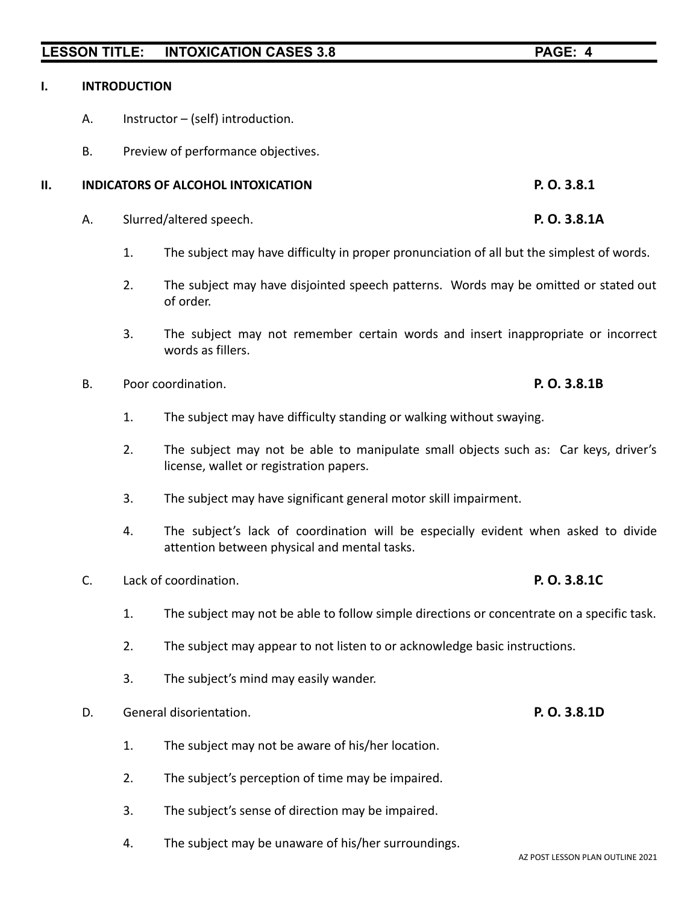### **I. INTRODUCTION**

- A. Instructor (self) introduction.
- B. Preview of performance objectives.

# **II. INDICATORS OF ALCOHOL INTOXICATION P. O. 3.8.1**

- A. Slurred/altered speech. **P. O. 3.8.1A**
	- 1. The subject may have difficulty in proper pronunciation of all but the simplest of words.
	- 2. The subject may have disjointed speech patterns. Words may be omitted or stated out of order.
	- 3. The subject may not remember certain words and insert inappropriate or incorrect words as fillers.
- B. Poor coordination. **P. O. 3.8.1B**
	- 1. The subject may have difficulty standing or walking without swaying.
	- 2. The subject may not be able to manipulate small objects such as: Car keys, driver's license, wallet or registration papers.
	- 3. The subject may have significant general motor skill impairment.
	- 4. The subject's lack of coordination will be especially evident when asked to divide attention between physical and mental tasks.
- C. Lack of coordination. **P. O. 3.8.1C**
	- 1. The subject may not be able to follow simple directions or concentrate on a specific task.
	- 2. The subject may appear to not listen to or acknowledge basic instructions.
	- 3. The subject's mind may easily wander.
- D. General disorientation. **P. O. 3.8.1D**
	- 1. The subject may not be aware of his/her location.
	- 2. The subject's perception of time may be impaired.
	- 3. The subject's sense of direction may be impaired.
	- 4. The subject may be unaware of his/her surroundings.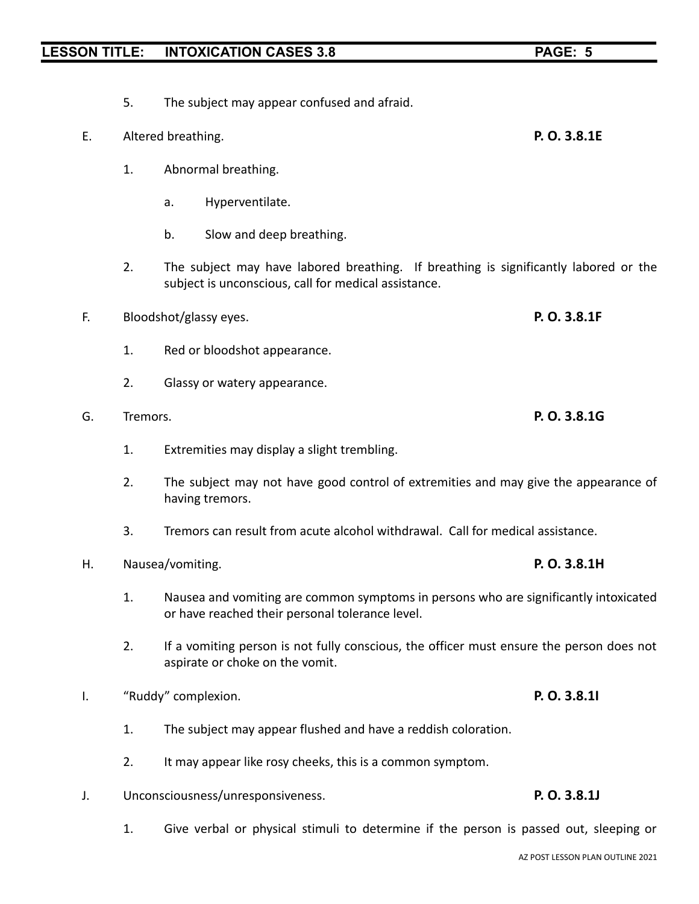- 5. The subject may appear confused and afraid.
- E. Altered breathing. **P. O. 3.8.1E**
	- 1. Abnormal breathing.
		- a. Hyperventilate.
		- b. Slow and deep breathing.
	- 2. The subject may have labored breathing. If breathing is significantly labored or the subject is unconscious, call for medical assistance.
- F. Bloodshot/glassy eyes. **P. O. 3.8.1F**
	- 1. Red or bloodshot appearance.
	- 2. Glassy or watery appearance.
- G. Tremors. **P. O. 3.8.1G**
	- 1. Extremities may display a slight trembling.
	- 2. The subject may not have good control of extremities and may give the appearance of having tremors.
	- 3. Tremors can result from acute alcohol withdrawal. Call for medical assistance.
- H. Nausea/vomiting. **P. O. 3.8.1H**
	- 1. Nausea and vomiting are common symptoms in persons who are significantly intoxicated or have reached their personal tolerance level.
	- 2. If a vomiting person is not fully conscious, the officer must ensure the person does not aspirate or choke on the vomit.
- I. "Ruddy" complexion. **P. O. 3.8.1I**
	- 1. The subject may appear flushed and have a reddish coloration.
	- 2. It may appear like rosy cheeks, this is a common symptom.
- J. Unconsciousness/unresponsiveness. **P. O. 3.8.1J**
	- 1. Give verbal or physical stimuli to determine if the person is passed out, sleeping or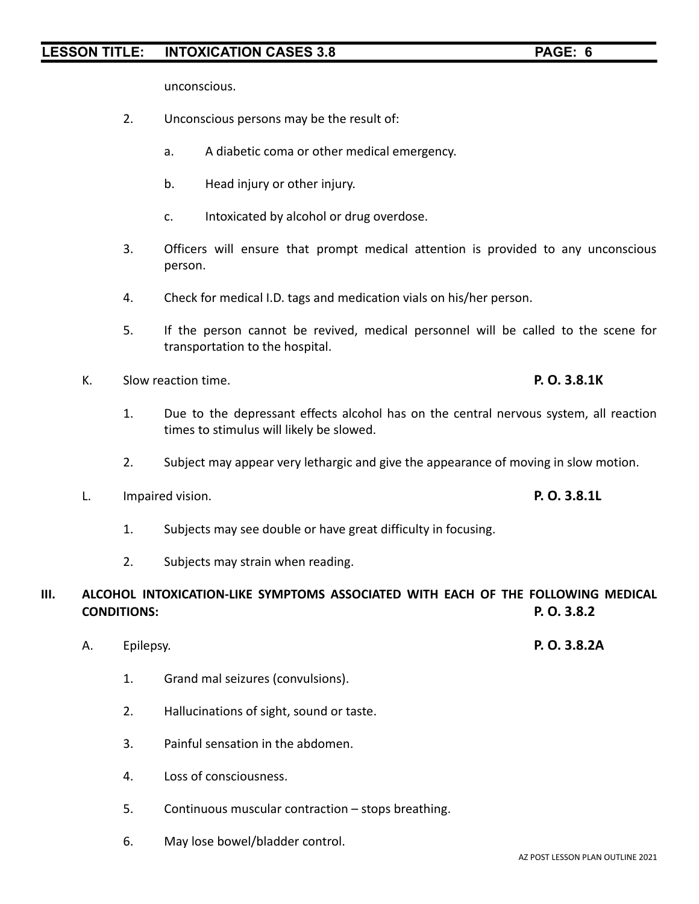unconscious.

- 2. Unconscious persons may be the result of:
	- a. A diabetic coma or other medical emergency.
	- b. Head injury or other injury.
	- c. Intoxicated by alcohol or drug overdose.
- 3. Officers will ensure that prompt medical attention is provided to any unconscious person.
- 4. Check for medical I.D. tags and medication vials on his/her person.
- 5. If the person cannot be revived, medical personnel will be called to the scene for transportation to the hospital.
- K. Slow reaction time. **P. O. 3.8.1K**
	- 1. Due to the depressant effects alcohol has on the central nervous system, all reaction times to stimulus will likely be slowed.
	- 2. Subject may appear very lethargic and give the appearance of moving in slow motion.
- L. Impaired vision. **P. O. 3.8.1L**
	- 1. Subjects may see double or have great difficulty in focusing.
	- 2. Subjects may strain when reading.

### **III. ALCOHOL INTOXICATION-LIKE SYMPTOMS ASSOCIATED WITH EACH OF THE FOLLOWING MEDICAL CONDITIONS: P. O. 3.8.2**

- A. Epilepsy. **P. O. 3.8.2A**
	- 1. Grand mal seizures (convulsions).
	- 2. Hallucinations of sight, sound or taste.
	- 3. Painful sensation in the abdomen.
	- 4. Loss of consciousness.
	- 5. Continuous muscular contraction stops breathing.
	- 6. May lose bowel/bladder control.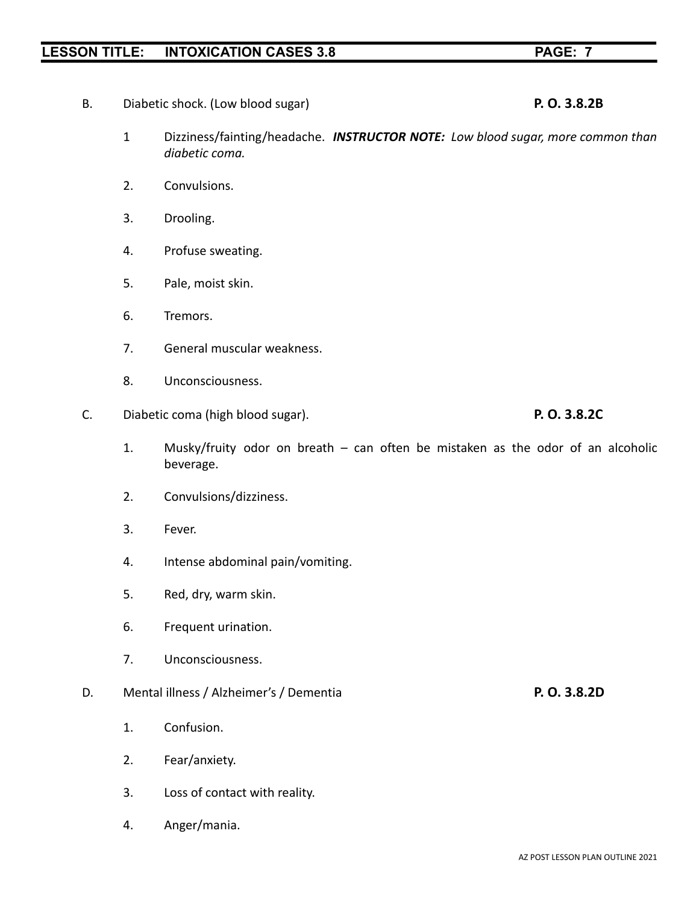- B. Diabetic shock. (Low blood sugar) **P. O. 3.8.2B**
	- 1 Dizziness/fainting/headache. *INSTRUCTOR NOTE: Low blood sugar, more common than diabetic coma.*
	- 2. Convulsions.
	- 3. Drooling.
	- 4. Profuse sweating.
	- 5. Pale, moist skin.
	- 6. Tremors.
	- 7. General muscular weakness.
	- 8. Unconsciousness.
- C. Diabetic coma (high blood sugar). **P. O. 3.8.2C**
	- 1. Musky/fruity odor on breath can often be mistaken as the odor of an alcoholic beverage.
	- 2. Convulsions/dizziness.
	- 3. Fever.
	- 4. Intense abdominal pain/vomiting.
	- 5. Red, dry, warm skin.
	- 6. Frequent urination.
	- 7. Unconsciousness.

### D. Mental illness / Alzheimer's / Dementia **P. O. 3.8.2D**

- 1. Confusion.
- 2. Fear/anxiety.
- 3. Loss of contact with reality.
- 4. Anger/mania.